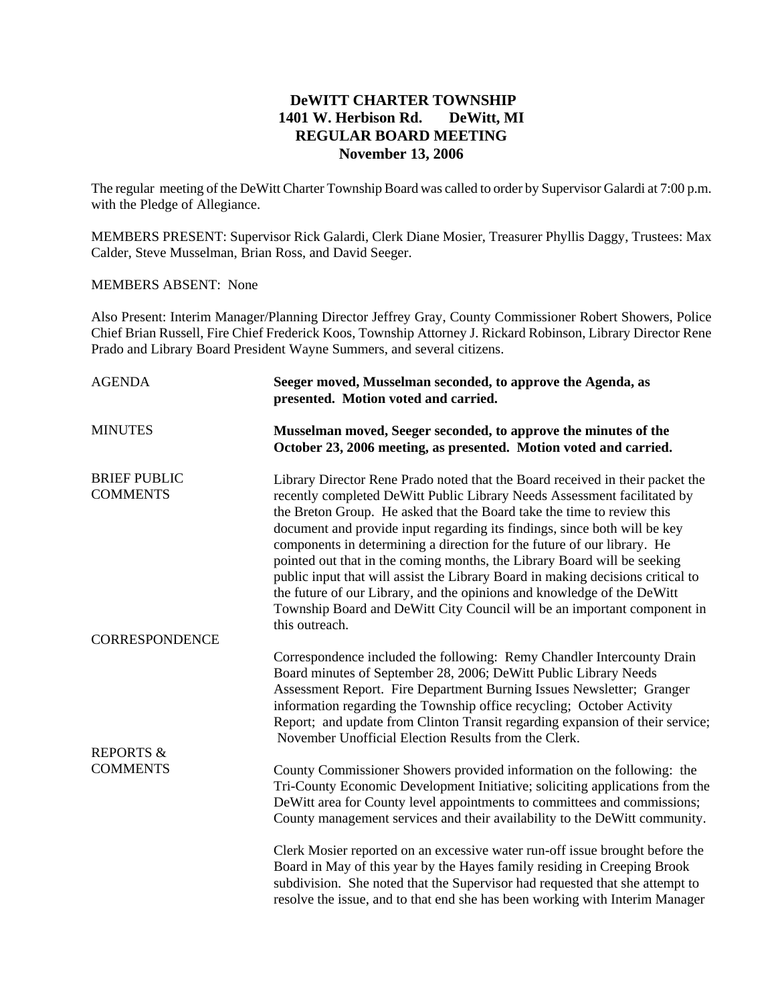## **DeWITT CHARTER TOWNSHIP 1401 W. Herbison Rd. DeWitt, MI REGULAR BOARD MEETING November 13, 2006**

The regular meeting of the DeWitt Charter Township Board was called to order by Supervisor Galardi at 7:00 p.m. with the Pledge of Allegiance.

MEMBERS PRESENT: Supervisor Rick Galardi, Clerk Diane Mosier, Treasurer Phyllis Daggy, Trustees: Max Calder, Steve Musselman, Brian Ross, and David Seeger.

## MEMBERS ABSENT: None

Also Present: Interim Manager/Planning Director Jeffrey Gray, County Commissioner Robert Showers, Police Chief Brian Russell, Fire Chief Frederick Koos, Township Attorney J. Rickard Robinson, Library Director Rene Prado and Library Board President Wayne Summers, and several citizens.

| <b>AGENDA</b>                          | Seeger moved, Musselman seconded, to approve the Agenda, as<br>presented. Motion voted and carried.                                                                                                                                                                                                                                                                                                                                                                                                                                                                                                                                                                                                                                 |  |
|----------------------------------------|-------------------------------------------------------------------------------------------------------------------------------------------------------------------------------------------------------------------------------------------------------------------------------------------------------------------------------------------------------------------------------------------------------------------------------------------------------------------------------------------------------------------------------------------------------------------------------------------------------------------------------------------------------------------------------------------------------------------------------------|--|
| <b>MINUTES</b>                         | Musselman moved, Seeger seconded, to approve the minutes of the<br>October 23, 2006 meeting, as presented. Motion voted and carried.                                                                                                                                                                                                                                                                                                                                                                                                                                                                                                                                                                                                |  |
| <b>BRIEF PUBLIC</b><br><b>COMMENTS</b> | Library Director Rene Prado noted that the Board received in their packet the<br>recently completed DeWitt Public Library Needs Assessment facilitated by<br>the Breton Group. He asked that the Board take the time to review this<br>document and provide input regarding its findings, since both will be key<br>components in determining a direction for the future of our library. He<br>pointed out that in the coming months, the Library Board will be seeking<br>public input that will assist the Library Board in making decisions critical to<br>the future of our Library, and the opinions and knowledge of the DeWitt<br>Township Board and DeWitt City Council will be an important component in<br>this outreach. |  |
| <b>CORRESPONDENCE</b>                  |                                                                                                                                                                                                                                                                                                                                                                                                                                                                                                                                                                                                                                                                                                                                     |  |
|                                        | Correspondence included the following: Remy Chandler Intercounty Drain<br>Board minutes of September 28, 2006; DeWitt Public Library Needs<br>Assessment Report. Fire Department Burning Issues Newsletter; Granger<br>information regarding the Township office recycling; October Activity<br>Report; and update from Clinton Transit regarding expansion of their service;<br>November Unofficial Election Results from the Clerk.                                                                                                                                                                                                                                                                                               |  |
| <b>REPORTS &amp;</b>                   |                                                                                                                                                                                                                                                                                                                                                                                                                                                                                                                                                                                                                                                                                                                                     |  |
| <b>COMMENTS</b>                        | County Commissioner Showers provided information on the following: the<br>Tri-County Economic Development Initiative; soliciting applications from the<br>DeWitt area for County level appointments to committees and commissions;<br>County management services and their availability to the DeWitt community.                                                                                                                                                                                                                                                                                                                                                                                                                    |  |
|                                        | Clerk Mosier reported on an excessive water run-off issue brought before the<br>Board in May of this year by the Hayes family residing in Creeping Brook<br>subdivision. She noted that the Supervisor had requested that she attempt to<br>resolve the issue, and to that end she has been working with Interim Manager                                                                                                                                                                                                                                                                                                                                                                                                            |  |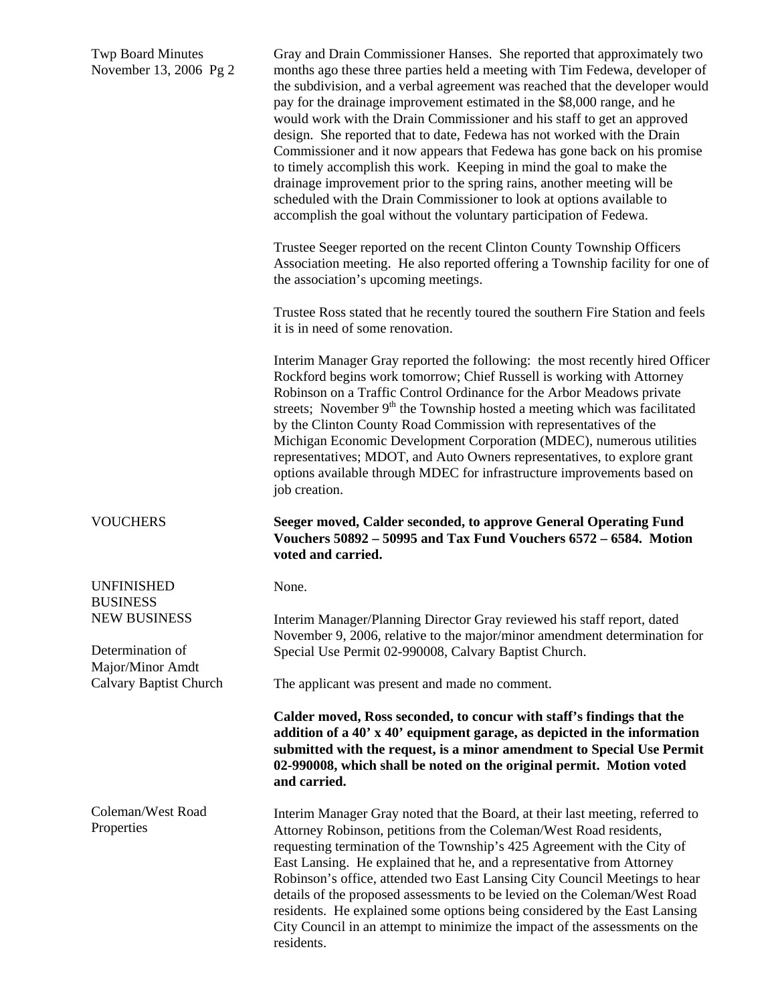| <b>Twp Board Minutes</b><br>November 13, 2006 Pg 2                                                  | Gray and Drain Commissioner Hanses. She reported that approximately two<br>months ago these three parties held a meeting with Tim Fedewa, developer of<br>the subdivision, and a verbal agreement was reached that the developer would<br>pay for the drainage improvement estimated in the \$8,000 range, and he<br>would work with the Drain Commissioner and his staff to get an approved<br>design. She reported that to date, Fedewa has not worked with the Drain<br>Commissioner and it now appears that Fedewa has gone back on his promise<br>to timely accomplish this work. Keeping in mind the goal to make the<br>drainage improvement prior to the spring rains, another meeting will be<br>scheduled with the Drain Commissioner to look at options available to<br>accomplish the goal without the voluntary participation of Fedewa. |  |
|-----------------------------------------------------------------------------------------------------|-------------------------------------------------------------------------------------------------------------------------------------------------------------------------------------------------------------------------------------------------------------------------------------------------------------------------------------------------------------------------------------------------------------------------------------------------------------------------------------------------------------------------------------------------------------------------------------------------------------------------------------------------------------------------------------------------------------------------------------------------------------------------------------------------------------------------------------------------------|--|
|                                                                                                     | Trustee Seeger reported on the recent Clinton County Township Officers<br>Association meeting. He also reported offering a Township facility for one of<br>the association's upcoming meetings.                                                                                                                                                                                                                                                                                                                                                                                                                                                                                                                                                                                                                                                       |  |
|                                                                                                     | Trustee Ross stated that he recently toured the southern Fire Station and feels<br>it is in need of some renovation.                                                                                                                                                                                                                                                                                                                                                                                                                                                                                                                                                                                                                                                                                                                                  |  |
|                                                                                                     | Interim Manager Gray reported the following: the most recently hired Officer<br>Rockford begins work tomorrow; Chief Russell is working with Attorney<br>Robinson on a Traffic Control Ordinance for the Arbor Meadows private<br>streets; November 9 <sup>th</sup> the Township hosted a meeting which was facilitated<br>by the Clinton County Road Commission with representatives of the<br>Michigan Economic Development Corporation (MDEC), numerous utilities<br>representatives; MDOT, and Auto Owners representatives, to explore grant<br>options available through MDEC for infrastructure improvements based on<br>job creation.                                                                                                                                                                                                          |  |
| <b>VOUCHERS</b>                                                                                     | Seeger moved, Calder seconded, to approve General Operating Fund<br>Vouchers 50892 - 50995 and Tax Fund Vouchers 6572 - 6584. Motion<br>voted and carried.                                                                                                                                                                                                                                                                                                                                                                                                                                                                                                                                                                                                                                                                                            |  |
| <b>UNFINISHED</b><br><b>BUSINESS</b><br><b>NEW BUSINESS</b><br>Determination of<br>Major/Minor Amdt | None.                                                                                                                                                                                                                                                                                                                                                                                                                                                                                                                                                                                                                                                                                                                                                                                                                                                 |  |
|                                                                                                     | Interim Manager/Planning Director Gray reviewed his staff report, dated<br>November 9, 2006, relative to the major/minor amendment determination for<br>Special Use Permit 02-990008, Calvary Baptist Church.                                                                                                                                                                                                                                                                                                                                                                                                                                                                                                                                                                                                                                         |  |
| Calvary Baptist Church                                                                              | The applicant was present and made no comment.                                                                                                                                                                                                                                                                                                                                                                                                                                                                                                                                                                                                                                                                                                                                                                                                        |  |
|                                                                                                     | Calder moved, Ross seconded, to concur with staff's findings that the<br>addition of a 40' x 40' equipment garage, as depicted in the information<br>submitted with the request, is a minor amendment to Special Use Permit<br>02-990008, which shall be noted on the original permit. Motion voted<br>and carried.                                                                                                                                                                                                                                                                                                                                                                                                                                                                                                                                   |  |
| Coleman/West Road<br>Properties                                                                     | Interim Manager Gray noted that the Board, at their last meeting, referred to<br>Attorney Robinson, petitions from the Coleman/West Road residents,<br>requesting termination of the Township's 425 Agreement with the City of<br>East Lansing. He explained that he, and a representative from Attorney<br>Robinson's office, attended two East Lansing City Council Meetings to hear<br>details of the proposed assessments to be levied on the Coleman/West Road<br>residents. He explained some options being considered by the East Lansing                                                                                                                                                                                                                                                                                                      |  |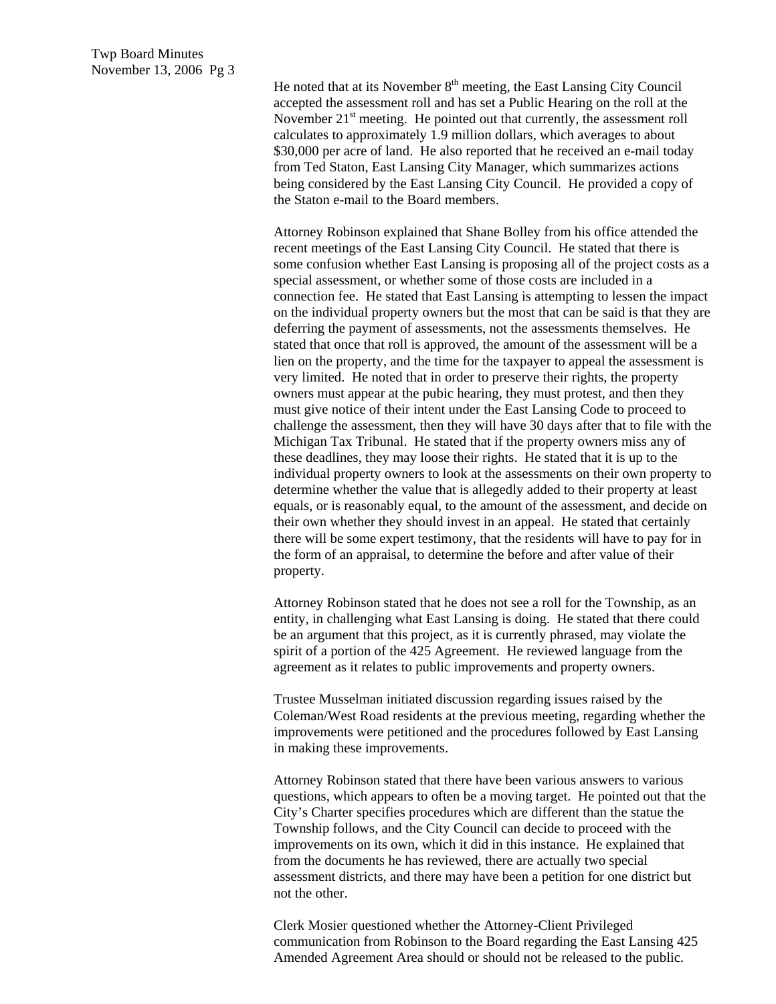He noted that at its November  $8<sup>th</sup>$  meeting, the East Lansing City Council accepted the assessment roll and has set a Public Hearing on the roll at the November  $21<sup>st</sup>$  meeting. He pointed out that currently, the assessment roll calculates to approximately 1.9 million dollars, which averages to about \$30,000 per acre of land. He also reported that he received an e-mail today from Ted Staton, East Lansing City Manager, which summarizes actions being considered by the East Lansing City Council. He provided a copy of the Staton e-mail to the Board members.

Attorney Robinson explained that Shane Bolley from his office attended the recent meetings of the East Lansing City Council. He stated that there is some confusion whether East Lansing is proposing all of the project costs as a special assessment, or whether some of those costs are included in a connection fee. He stated that East Lansing is attempting to lessen the impact on the individual property owners but the most that can be said is that they are deferring the payment of assessments, not the assessments themselves. He stated that once that roll is approved, the amount of the assessment will be a lien on the property, and the time for the taxpayer to appeal the assessment is very limited. He noted that in order to preserve their rights, the property owners must appear at the pubic hearing, they must protest, and then they must give notice of their intent under the East Lansing Code to proceed to challenge the assessment, then they will have 30 days after that to file with the Michigan Tax Tribunal. He stated that if the property owners miss any of these deadlines, they may loose their rights. He stated that it is up to the individual property owners to look at the assessments on their own property to determine whether the value that is allegedly added to their property at least equals, or is reasonably equal, to the amount of the assessment, and decide on their own whether they should invest in an appeal. He stated that certainly there will be some expert testimony, that the residents will have to pay for in the form of an appraisal, to determine the before and after value of their property.

Attorney Robinson stated that he does not see a roll for the Township, as an entity, in challenging what East Lansing is doing. He stated that there could be an argument that this project, as it is currently phrased, may violate the spirit of a portion of the 425 Agreement. He reviewed language from the agreement as it relates to public improvements and property owners.

Trustee Musselman initiated discussion regarding issues raised by the Coleman/West Road residents at the previous meeting, regarding whether the improvements were petitioned and the procedures followed by East Lansing in making these improvements.

Attorney Robinson stated that there have been various answers to various questions, which appears to often be a moving target. He pointed out that the City's Charter specifies procedures which are different than the statue the Township follows, and the City Council can decide to proceed with the improvements on its own, which it did in this instance. He explained that from the documents he has reviewed, there are actually two special assessment districts, and there may have been a petition for one district but not the other.

Clerk Mosier questioned whether the Attorney-Client Privileged communication from Robinson to the Board regarding the East Lansing 425 Amended Agreement Area should or should not be released to the public.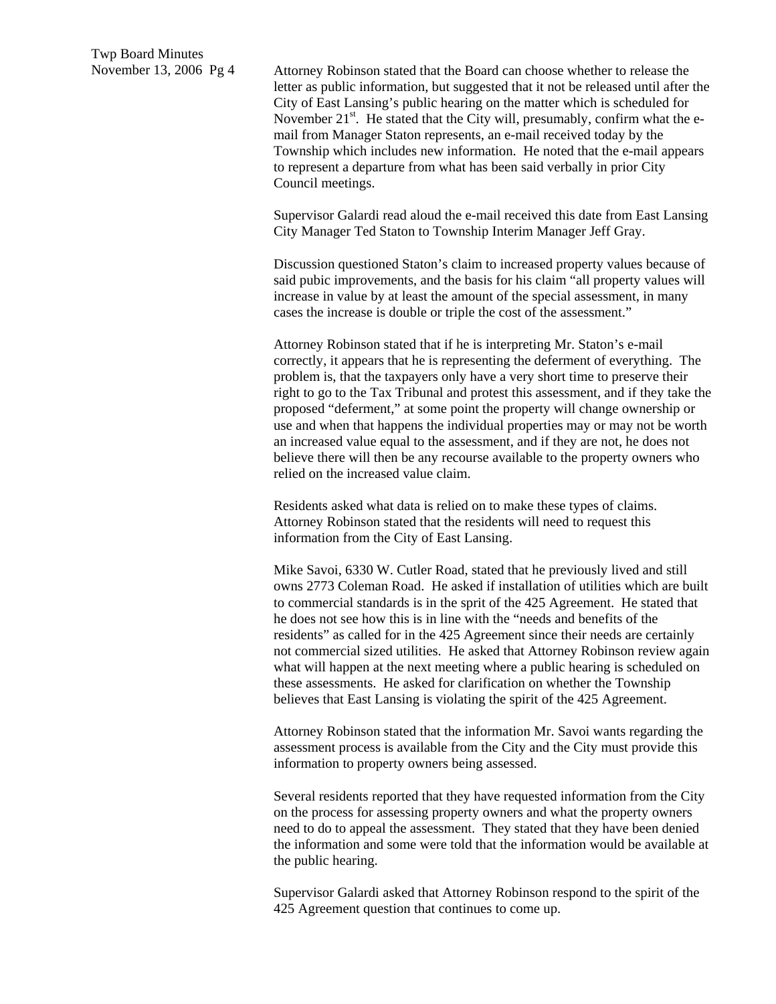November 13, 2006 Pg 4 Attorney Robinson stated that the Board can choose whether to release the letter as public information, but suggested that it not be released until after the City of East Lansing's public hearing on the matter which is scheduled for November  $21^{st}$ . He stated that the City will, presumably, confirm what the email from Manager Staton represents, an e-mail received today by the Township which includes new information. He noted that the e-mail appears to represent a departure from what has been said verbally in prior City Council meetings.

> Supervisor Galardi read aloud the e-mail received this date from East Lansing City Manager Ted Staton to Township Interim Manager Jeff Gray.

> Discussion questioned Staton's claim to increased property values because of said pubic improvements, and the basis for his claim "all property values will increase in value by at least the amount of the special assessment, in many cases the increase is double or triple the cost of the assessment."

Attorney Robinson stated that if he is interpreting Mr. Staton's e-mail correctly, it appears that he is representing the deferment of everything. The problem is, that the taxpayers only have a very short time to preserve their right to go to the Tax Tribunal and protest this assessment, and if they take the proposed "deferment," at some point the property will change ownership or use and when that happens the individual properties may or may not be worth an increased value equal to the assessment, and if they are not, he does not believe there will then be any recourse available to the property owners who relied on the increased value claim.

Residents asked what data is relied on to make these types of claims. Attorney Robinson stated that the residents will need to request this information from the City of East Lansing.

Mike Savoi, 6330 W. Cutler Road, stated that he previously lived and still owns 2773 Coleman Road. He asked if installation of utilities which are built to commercial standards is in the sprit of the 425 Agreement. He stated that he does not see how this is in line with the "needs and benefits of the residents" as called for in the 425 Agreement since their needs are certainly not commercial sized utilities. He asked that Attorney Robinson review again what will happen at the next meeting where a public hearing is scheduled on these assessments. He asked for clarification on whether the Township believes that East Lansing is violating the spirit of the 425 Agreement.

Attorney Robinson stated that the information Mr. Savoi wants regarding the assessment process is available from the City and the City must provide this information to property owners being assessed.

Several residents reported that they have requested information from the City on the process for assessing property owners and what the property owners need to do to appeal the assessment. They stated that they have been denied the information and some were told that the information would be available at the public hearing.

Supervisor Galardi asked that Attorney Robinson respond to the spirit of the 425 Agreement question that continues to come up.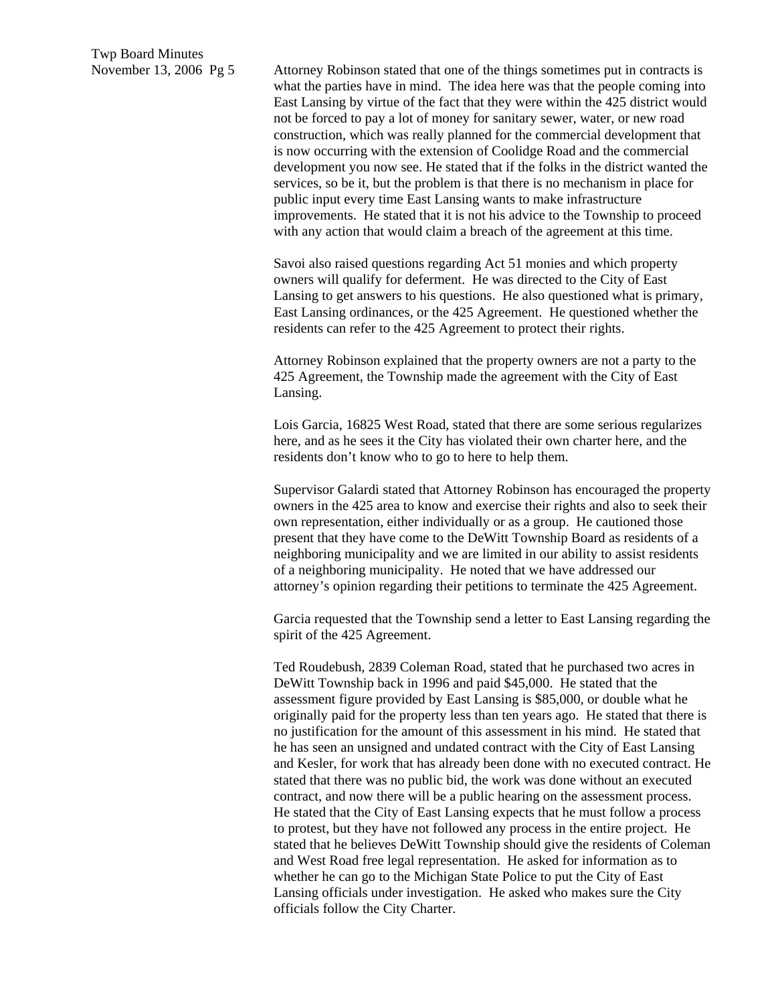November 13, 2006 Pg 5 Attorney Robinson stated that one of the things sometimes put in contracts is what the parties have in mind. The idea here was that the people coming into East Lansing by virtue of the fact that they were within the 425 district would not be forced to pay a lot of money for sanitary sewer, water, or new road construction, which was really planned for the commercial development that is now occurring with the extension of Coolidge Road and the commercial development you now see. He stated that if the folks in the district wanted the services, so be it, but the problem is that there is no mechanism in place for public input every time East Lansing wants to make infrastructure improvements. He stated that it is not his advice to the Township to proceed with any action that would claim a breach of the agreement at this time.

> Savoi also raised questions regarding Act 51 monies and which property owners will qualify for deferment. He was directed to the City of East Lansing to get answers to his questions. He also questioned what is primary, East Lansing ordinances, or the 425 Agreement. He questioned whether the residents can refer to the 425 Agreement to protect their rights.

Attorney Robinson explained that the property owners are not a party to the 425 Agreement, the Township made the agreement with the City of East Lansing.

Lois Garcia, 16825 West Road, stated that there are some serious regularizes here, and as he sees it the City has violated their own charter here, and the residents don't know who to go to here to help them.

Supervisor Galardi stated that Attorney Robinson has encouraged the property owners in the 425 area to know and exercise their rights and also to seek their own representation, either individually or as a group. He cautioned those present that they have come to the DeWitt Township Board as residents of a neighboring municipality and we are limited in our ability to assist residents of a neighboring municipality. He noted that we have addressed our attorney's opinion regarding their petitions to terminate the 425 Agreement.

Garcia requested that the Township send a letter to East Lansing regarding the spirit of the 425 Agreement.

Ted Roudebush, 2839 Coleman Road, stated that he purchased two acres in DeWitt Township back in 1996 and paid \$45,000. He stated that the assessment figure provided by East Lansing is \$85,000, or double what he originally paid for the property less than ten years ago. He stated that there is no justification for the amount of this assessment in his mind. He stated that he has seen an unsigned and undated contract with the City of East Lansing and Kesler, for work that has already been done with no executed contract. He stated that there was no public bid, the work was done without an executed contract, and now there will be a public hearing on the assessment process. He stated that the City of East Lansing expects that he must follow a process to protest, but they have not followed any process in the entire project. He stated that he believes DeWitt Township should give the residents of Coleman and West Road free legal representation. He asked for information as to whether he can go to the Michigan State Police to put the City of East Lansing officials under investigation. He asked who makes sure the City officials follow the City Charter.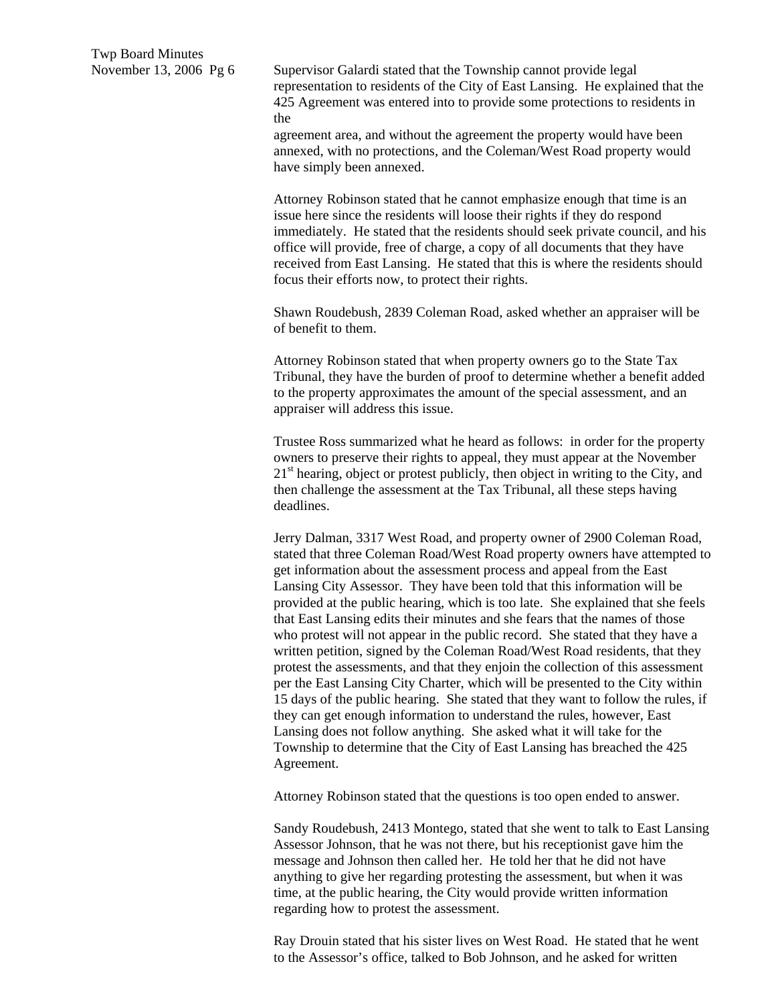November 13, 2006 Pg 6 Supervisor Galardi stated that the Township cannot provide legal representation to residents of the City of East Lansing. He explained that the 425 Agreement was entered into to provide some protections to residents in the

> agreement area, and without the agreement the property would have been annexed, with no protections, and the Coleman/West Road property would have simply been annexed.

Attorney Robinson stated that he cannot emphasize enough that time is an issue here since the residents will loose their rights if they do respond immediately. He stated that the residents should seek private council, and his office will provide, free of charge, a copy of all documents that they have received from East Lansing. He stated that this is where the residents should focus their efforts now, to protect their rights.

Shawn Roudebush, 2839 Coleman Road, asked whether an appraiser will be of benefit to them.

Attorney Robinson stated that when property owners go to the State Tax Tribunal, they have the burden of proof to determine whether a benefit added to the property approximates the amount of the special assessment, and an appraiser will address this issue.

Trustee Ross summarized what he heard as follows: in order for the property owners to preserve their rights to appeal, they must appear at the November  $21<sup>st</sup>$  hearing, object or protest publicly, then object in writing to the City, and then challenge the assessment at the Tax Tribunal, all these steps having deadlines.

Jerry Dalman, 3317 West Road, and property owner of 2900 Coleman Road, stated that three Coleman Road/West Road property owners have attempted to get information about the assessment process and appeal from the East Lansing City Assessor. They have been told that this information will be provided at the public hearing, which is too late. She explained that she feels that East Lansing edits their minutes and she fears that the names of those who protest will not appear in the public record. She stated that they have a written petition, signed by the Coleman Road/West Road residents, that they protest the assessments, and that they enjoin the collection of this assessment per the East Lansing City Charter, which will be presented to the City within 15 days of the public hearing. She stated that they want to follow the rules, if they can get enough information to understand the rules, however, East Lansing does not follow anything. She asked what it will take for the Township to determine that the City of East Lansing has breached the 425 Agreement.

Attorney Robinson stated that the questions is too open ended to answer.

Sandy Roudebush, 2413 Montego, stated that she went to talk to East Lansing Assessor Johnson, that he was not there, but his receptionist gave him the message and Johnson then called her. He told her that he did not have anything to give her regarding protesting the assessment, but when it was time, at the public hearing, the City would provide written information regarding how to protest the assessment.

Ray Drouin stated that his sister lives on West Road. He stated that he went to the Assessor's office, talked to Bob Johnson, and he asked for written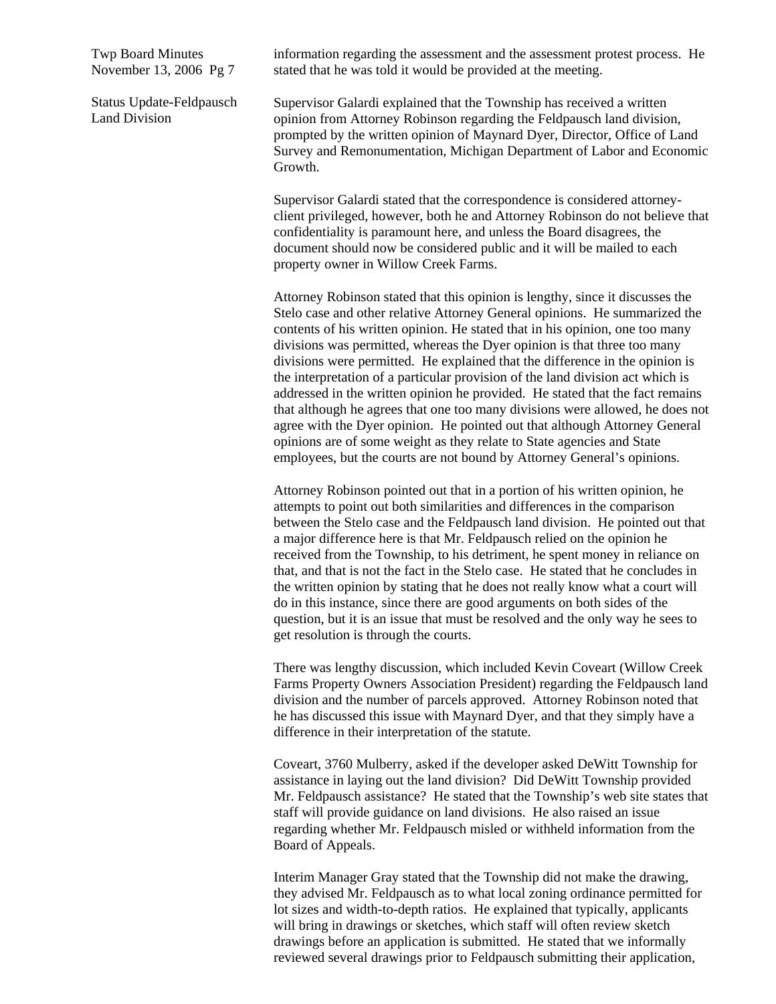Twp Board Minutes November 13, 2006 Pg 7

Status Update-Feldpausch Land Division

information regarding the assessment and the assessment protest process. He stated that he was told it would be provided at the meeting.

Supervisor Galardi explained that the Township has received a written opinion from Attorney Robinson regarding the Feldpausch land division, prompted by the written opinion of Maynard Dyer, Director, Office of Land Survey and Remonumentation, Michigan Department of Labor and Economic Growth.

Supervisor Galardi stated that the correspondence is considered attorneyclient privileged, however, both he and Attorney Robinson do not believe that confidentiality is paramount here, and unless the Board disagrees, the document should now be considered public and it will be mailed to each property owner in Willow Creek Farms.

Attorney Robinson stated that this opinion is lengthy, since it discusses the Stelo case and other relative Attorney General opinions. He summarized the contents of his written opinion. He stated that in his opinion, one too many divisions was permitted, whereas the Dyer opinion is that three too many divisions were permitted. He explained that the difference in the opinion is the interpretation of a particular provision of the land division act which is addressed in the written opinion he provided. He stated that the fact remains that although he agrees that one too many divisions were allowed, he does not agree with the Dyer opinion. He pointed out that although Attorney General opinions are of some weight as they relate to State agencies and State employees, but the courts are not bound by Attorney General's opinions.

Attorney Robinson pointed out that in a portion of his written opinion, he attempts to point out both similarities and differences in the comparison between the Stelo case and the Feldpausch land division. He pointed out that a major difference here is that Mr. Feldpausch relied on the opinion he received from the Township, to his detriment, he spent money in reliance on that, and that is not the fact in the Stelo case. He stated that he concludes in the written opinion by stating that he does not really know what a court will do in this instance, since there are good arguments on both sides of the question, but it is an issue that must be resolved and the only way he sees to get resolution is through the courts.

There was lengthy discussion, which included Kevin Coveart (Willow Creek Farms Property Owners Association President) regarding the Feldpausch land division and the number of parcels approved. Attorney Robinson noted that he has discussed this issue with Maynard Dyer, and that they simply have a difference in their interpretation of the statute.

Coveart, 3760 Mulberry, asked if the developer asked DeWitt Township for assistance in laying out the land division? Did DeWitt Township provided Mr. Feldpausch assistance? He stated that the Township's web site states that staff will provide guidance on land divisions. He also raised an issue regarding whether Mr. Feldpausch misled or withheld information from the Board of Appeals.

Interim Manager Gray stated that the Township did not make the drawing, they advised Mr. Feldpausch as to what local zoning ordinance permitted for lot sizes and width-to-depth ratios. He explained that typically, applicants will bring in drawings or sketches, which staff will often review sketch drawings before an application is submitted. He stated that we informally reviewed several drawings prior to Feldpausch submitting their application,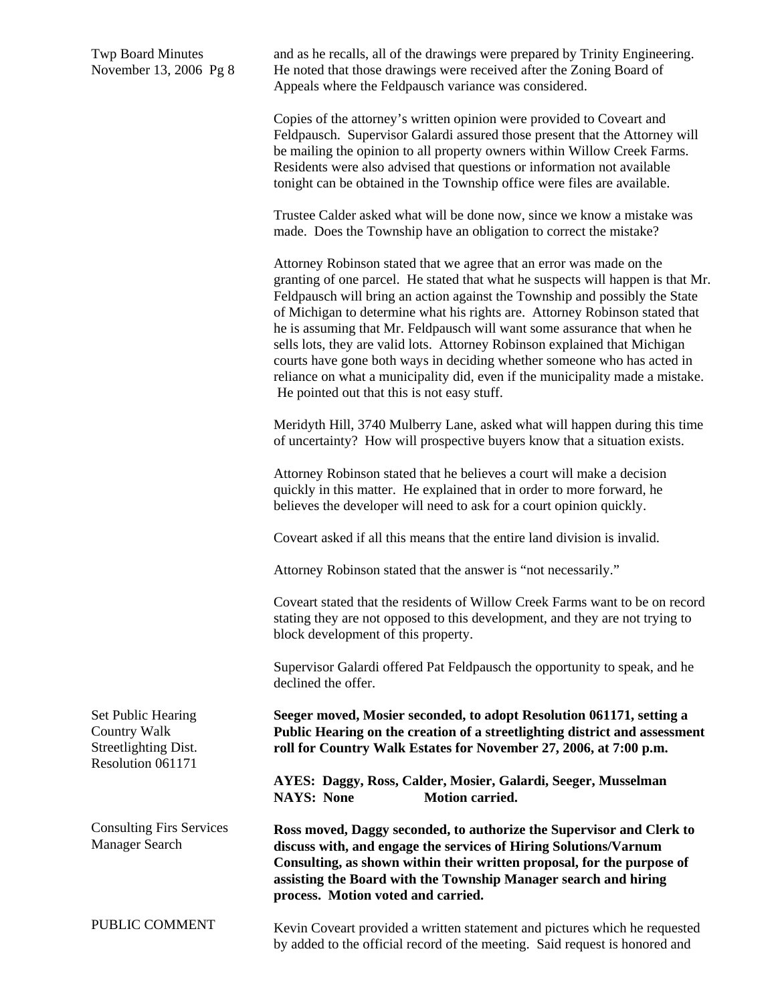Twp Board Minutes November 13, 2006 Pg 8 Set Public Hearing Country Walk Streetlighting Dist. Resolution 061171 Consulting Firs Services Manager Search PUBLIC COMMENT and as he recalls, all of the drawings were prepared by Trinity Engineering. He noted that those drawings were received after the Zoning Board of Appeals where the Feldpausch variance was considered. Copies of the attorney's written opinion were provided to Coveart and Feldpausch. Supervisor Galardi assured those present that the Attorney will be mailing the opinion to all property owners within Willow Creek Farms. Residents were also advised that questions or information not available tonight can be obtained in the Township office were files are available. Trustee Calder asked what will be done now, since we know a mistake was made. Does the Township have an obligation to correct the mistake? Attorney Robinson stated that we agree that an error was made on the granting of one parcel. He stated that what he suspects will happen is that Mr. Feldpausch will bring an action against the Township and possibly the State of Michigan to determine what his rights are. Attorney Robinson stated that he is assuming that Mr. Feldpausch will want some assurance that when he sells lots, they are valid lots. Attorney Robinson explained that Michigan courts have gone both ways in deciding whether someone who has acted in reliance on what a municipality did, even if the municipality made a mistake. He pointed out that this is not easy stuff. Meridyth Hill, 3740 Mulberry Lane, asked what will happen during this time of uncertainty? How will prospective buyers know that a situation exists. Attorney Robinson stated that he believes a court will make a decision quickly in this matter. He explained that in order to more forward, he believes the developer will need to ask for a court opinion quickly. Coveart asked if all this means that the entire land division is invalid. Attorney Robinson stated that the answer is "not necessarily." Coveart stated that the residents of Willow Creek Farms want to be on record stating they are not opposed to this development, and they are not trying to block development of this property. Supervisor Galardi offered Pat Feldpausch the opportunity to speak, and he declined the offer. **Seeger moved, Mosier seconded, to adopt Resolution 061171, setting a Public Hearing on the creation of a streetlighting district and assessment roll for Country Walk Estates for November 27, 2006, at 7:00 p.m. AYES: Daggy, Ross, Calder, Mosier, Galardi, Seeger, Musselman NAYS:** None **Motion carried. Ross moved, Daggy seconded, to authorize the Supervisor and Clerk to discuss with, and engage the services of Hiring Solutions/Varnum Consulting, as shown within their written proposal, for the purpose of assisting the Board with the Township Manager search and hiring process. Motion voted and carried.**  Kevin Coveart provided a written statement and pictures which he requested

by added to the official record of the meeting. Said request is honored and